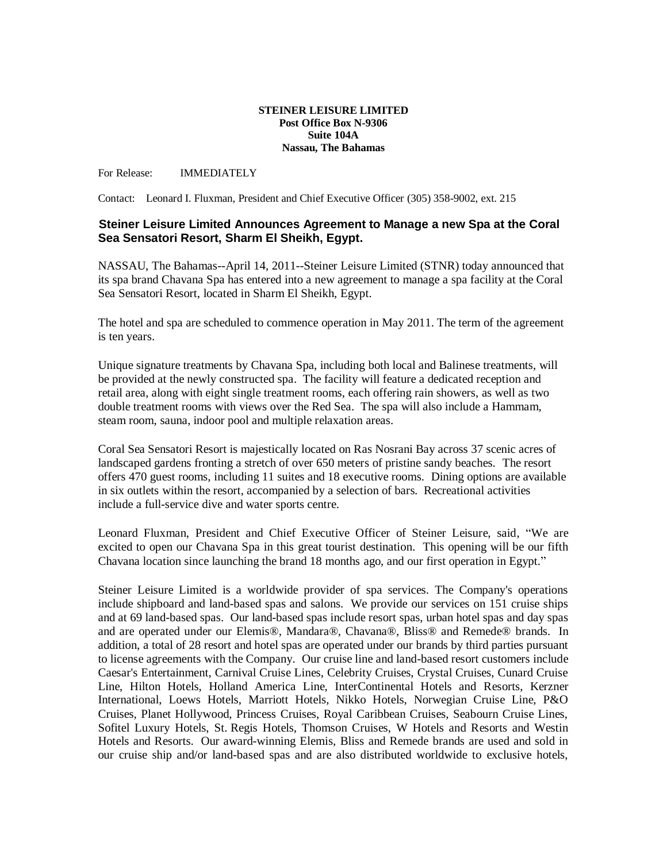## **STEINER LEISURE LIMITED Post Office Box N-9306 Suite 104A Nassau, The Bahamas**

For Release: IMMEDIATELY

Contact: Leonard I. Fluxman, President and Chief Executive Officer (305) 358-9002, ext. 215

## **Steiner Leisure Limited Announces Agreement to Manage a new Spa at the Coral Sea Sensatori Resort, Sharm El Sheikh, Egypt.**

NASSAU, The Bahamas--April 14, 2011--Steiner Leisure Limited (STNR) today announced that its spa brand Chavana Spa has entered into a new agreement to manage a spa facility at the Coral Sea Sensatori Resort, located in Sharm El Sheikh, Egypt.

The hotel and spa are scheduled to commence operation in May 2011. The term of the agreement is ten years.

Unique signature treatments by Chavana Spa, including both local and Balinese treatments, will be provided at the newly constructed spa. The facility will feature a dedicated reception and retail area, along with eight single treatment rooms, each offering rain showers, as well as two double treatment rooms with views over the Red Sea. The spa will also include a Hammam, steam room, sauna, indoor pool and multiple relaxation areas.

Coral Sea Sensatori Resort is majestically located on Ras Nosrani Bay across 37 scenic acres of landscaped gardens fronting a stretch of over 650 meters of pristine sandy beaches. The resort offers 470 guest rooms, including 11 suites and 18 executive rooms. Dining options are available in six outlets within the resort, accompanied by a selection of bars. Recreational activities include a full-service dive and water sports centre.

Leonard Fluxman, President and Chief Executive Officer of Steiner Leisure, said, "We are excited to open our Chavana Spa in this great tourist destination. This opening will be our fifth Chavana location since launching the brand 18 months ago, and our first operation in Egypt."

Steiner Leisure Limited is a worldwide provider of spa services. The Company's operations include shipboard and land-based spas and salons. We provide our services on 151 cruise ships and at 69 land-based spas. Our land-based spas include resort spas, urban hotel spas and day spas and are operated under our Elemis®, Mandara®, Chavana®, Bliss® and Remede® brands. In addition, a total of 28 resort and hotel spas are operated under our brands by third parties pursuant to license agreements with the Company. Our cruise line and land-based resort customers include Caesar's Entertainment, Carnival Cruise Lines, Celebrity Cruises, Crystal Cruises, Cunard Cruise Line, Hilton Hotels, Holland America Line, InterContinental Hotels and Resorts, Kerzner International, Loews Hotels, Marriott Hotels, Nikko Hotels, Norwegian Cruise Line, P&O Cruises, Planet Hollywood, Princess Cruises, Royal Caribbean Cruises, Seabourn Cruise Lines, Sofitel Luxury Hotels, St. Regis Hotels, Thomson Cruises, W Hotels and Resorts and Westin Hotels and Resorts. Our award-winning Elemis, Bliss and Remede brands are used and sold in our cruise ship and/or land-based spas and are also distributed worldwide to exclusive hotels,